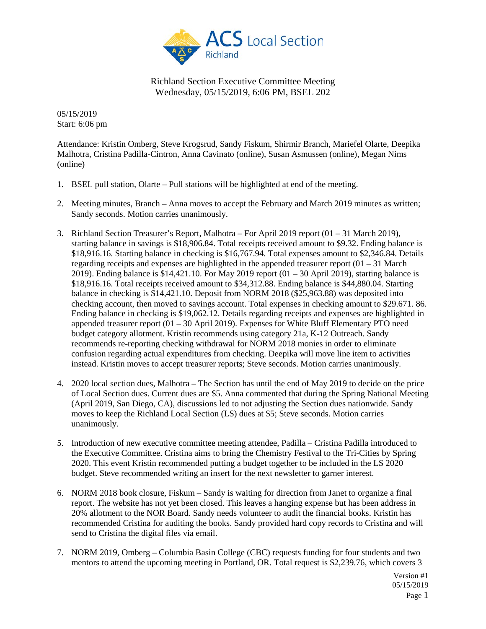

05/15/2019 Start: 6:06 pm

Attendance: Kristin Omberg, Steve Krogsrud, Sandy Fiskum, Shirmir Branch, Mariefel Olarte, Deepika Malhotra, Cristina Padilla-Cintron, Anna Cavinato (online), Susan Asmussen (online), Megan Nims (online)

- 1. BSEL pull station, Olarte Pull stations will be highlighted at end of the meeting.
- 2. Meeting minutes, Branch Anna moves to accept the February and March 2019 minutes as written; Sandy seconds. Motion carries unanimously.
- 3. Richland Section Treasurer's Report, Malhotra For April 2019 report (01 31 March 2019), starting balance in savings is \$18,906.84. Total receipts received amount to \$9.32. Ending balance is \$18,916.16. Starting balance in checking is \$16,767.94. Total expenses amount to \$2,346.84. Details regarding receipts and expenses are highlighted in the appended treasurer report  $(01 - 31)$  March 2019). Ending balance is \$14,421.10. For May 2019 report  $(01 - 30$  April 2019), starting balance is \$18,916.16. Total receipts received amount to \$34,312.88. Ending balance is \$44,880.04. Starting balance in checking is \$14,421.10. Deposit from NORM 2018 (\$25,963.88) was deposited into checking account, then moved to savings account. Total expenses in checking amount to \$29.671. 86. Ending balance in checking is \$19,062.12. Details regarding receipts and expenses are highlighted in appended treasurer report (01 – 30 April 2019). Expenses for White Bluff Elementary PTO need budget category allotment. Kristin recommends using category 21a, K-12 Outreach. Sandy recommends re-reporting checking withdrawal for NORM 2018 monies in order to eliminate confusion regarding actual expenditures from checking. Deepika will move line item to activities instead. Kristin moves to accept treasurer reports; Steve seconds. Motion carries unanimously.
- 4. 2020 local section dues, Malhotra The Section has until the end of May 2019 to decide on the price of Local Section dues. Current dues are \$5. Anna commented that during the Spring National Meeting (April 2019, San Diego, CA), discussions led to not adjusting the Section dues nationwide. Sandy moves to keep the Richland Local Section (LS) dues at \$5; Steve seconds. Motion carries unanimously.
- 5. Introduction of new executive committee meeting attendee, Padilla Cristina Padilla introduced to the Executive Committee. Cristina aims to bring the Chemistry Festival to the Tri-Cities by Spring 2020. This event Kristin recommended putting a budget together to be included in the LS 2020 budget. Steve recommended writing an insert for the next newsletter to garner interest.
- 6. NORM 2018 book closure, Fiskum Sandy is waiting for direction from Janet to organize a final report. The website has not yet been closed. This leaves a hanging expense but has been address in 20% allotment to the NOR Board. Sandy needs volunteer to audit the financial books. Kristin has recommended Cristina for auditing the books. Sandy provided hard copy records to Cristina and will send to Cristina the digital files via email.
- 7. NORM 2019, Omberg Columbia Basin College (CBC) requests funding for four students and two mentors to attend the upcoming meeting in Portland, OR. Total request is \$2,239.76, which covers 3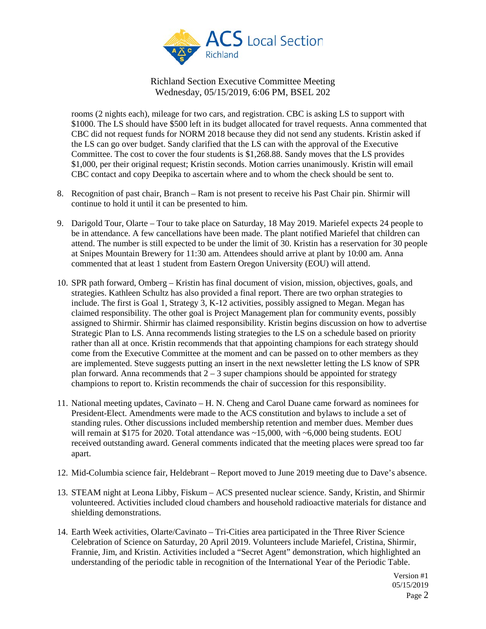

rooms (2 nights each), mileage for two cars, and registration. CBC is asking LS to support with \$1000. The LS should have \$500 left in its budget allocated for travel requests. Anna commented that CBC did not request funds for NORM 2018 because they did not send any students. Kristin asked if the LS can go over budget. Sandy clarified that the LS can with the approval of the Executive Committee. The cost to cover the four students is \$1,268.88. Sandy moves that the LS provides \$1,000, per their original request; Kristin seconds. Motion carries unanimously. Kristin will email CBC contact and copy Deepika to ascertain where and to whom the check should be sent to.

- 8. Recognition of past chair, Branch Ram is not present to receive his Past Chair pin. Shirmir will continue to hold it until it can be presented to him.
- 9. Darigold Tour, Olarte Tour to take place on Saturday, 18 May 2019. Mariefel expects 24 people to be in attendance. A few cancellations have been made. The plant notified Mariefel that children can attend. The number is still expected to be under the limit of 30. Kristin has a reservation for 30 people at Snipes Mountain Brewery for 11:30 am. Attendees should arrive at plant by 10:00 am. Anna commented that at least 1 student from Eastern Oregon University (EOU) will attend.
- 10. SPR path forward, Omberg Kristin has final document of vision, mission, objectives, goals, and strategies. Kathleen Schultz has also provided a final report. There are two orphan strategies to include. The first is Goal 1, Strategy 3, K-12 activities, possibly assigned to Megan. Megan has claimed responsibility. The other goal is Project Management plan for community events, possibly assigned to Shirmir. Shirmir has claimed responsibility. Kristin begins discussion on how to advertise Strategic Plan to LS. Anna recommends listing strategies to the LS on a schedule based on priority rather than all at once. Kristin recommends that that appointing champions for each strategy should come from the Executive Committee at the moment and can be passed on to other members as they are implemented. Steve suggests putting an insert in the next newsletter letting the LS know of SPR plan forward. Anna recommends that  $2 - 3$  super champions should be appointed for strategy champions to report to. Kristin recommends the chair of succession for this responsibility.
- 11. National meeting updates, Cavinato H. N. Cheng and Carol Duane came forward as nominees for President-Elect. Amendments were made to the ACS constitution and bylaws to include a set of standing rules. Other discussions included membership retention and member dues. Member dues will remain at \$175 for 2020. Total attendance was  $\sim$ 15,000, with  $\sim$ 6,000 being students. EOU received outstanding award. General comments indicated that the meeting places were spread too far apart.
- 12. Mid-Columbia science fair, Heldebrant Report moved to June 2019 meeting due to Dave's absence.
- 13. STEAM night at Leona Libby, Fiskum ACS presented nuclear science. Sandy, Kristin, and Shirmir volunteered. Activities included cloud chambers and household radioactive materials for distance and shielding demonstrations.
- 14. Earth Week activities, Olarte/Cavinato Tri-Cities area participated in the Three River Science Celebration of Science on Saturday, 20 April 2019. Volunteers include Mariefel, Cristina, Shirmir, Frannie, Jim, and Kristin. Activities included a "Secret Agent" demonstration, which highlighted an understanding of the periodic table in recognition of the International Year of the Periodic Table.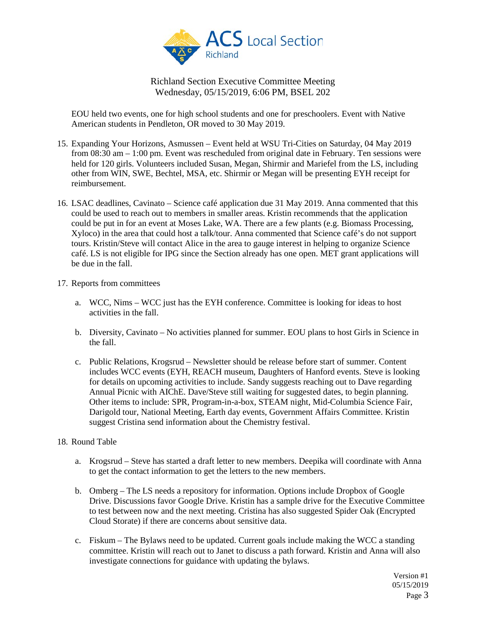

EOU held two events, one for high school students and one for preschoolers. Event with Native American students in Pendleton, OR moved to 30 May 2019.

- 15. Expanding Your Horizons, Asmussen Event held at WSU Tri-Cities on Saturday, 04 May 2019 from 08:30 am – 1:00 pm. Event was rescheduled from original date in February. Ten sessions were held for 120 girls. Volunteers included Susan, Megan, Shirmir and Mariefel from the LS, including other from WIN, SWE, Bechtel, MSA, etc. Shirmir or Megan will be presenting EYH receipt for reimbursement.
- 16. LSAC deadlines, Cavinato Science café application due 31 May 2019. Anna commented that this could be used to reach out to members in smaller areas. Kristin recommends that the application could be put in for an event at Moses Lake, WA. There are a few plants (e.g. Biomass Processing, Xyloco) in the area that could host a talk/tour. Anna commented that Science café's do not support tours. Kristin/Steve will contact Alice in the area to gauge interest in helping to organize Science café. LS is not eligible for IPG since the Section already has one open. MET grant applications will be due in the fall.
- 17. Reports from committees
	- a. WCC, Nims WCC just has the EYH conference. Committee is looking for ideas to host activities in the fall.
	- b. Diversity, Cavinato No activities planned for summer. EOU plans to host Girls in Science in the fall.
	- c. Public Relations, Krogsrud Newsletter should be release before start of summer. Content includes WCC events (EYH, REACH museum, Daughters of Hanford events. Steve is looking for details on upcoming activities to include. Sandy suggests reaching out to Dave regarding Annual Picnic with AIChE. Dave/Steve still waiting for suggested dates, to begin planning. Other items to include: SPR, Program-in-a-box, STEAM night, Mid-Columbia Science Fair, Darigold tour, National Meeting, Earth day events, Government Affairs Committee. Kristin suggest Cristina send information about the Chemistry festival.

## 18. Round Table

- a. Krogsrud Steve has started a draft letter to new members. Deepika will coordinate with Anna to get the contact information to get the letters to the new members.
- b. Omberg The LS needs a repository for information. Options include Dropbox of Google Drive. Discussions favor Google Drive. Kristin has a sample drive for the Executive Committee to test between now and the next meeting. Cristina has also suggested Spider Oak (Encrypted Cloud Storate) if there are concerns about sensitive data.
- c. Fiskum The Bylaws need to be updated. Current goals include making the WCC a standing committee. Kristin will reach out to Janet to discuss a path forward. Kristin and Anna will also investigate connections for guidance with updating the bylaws.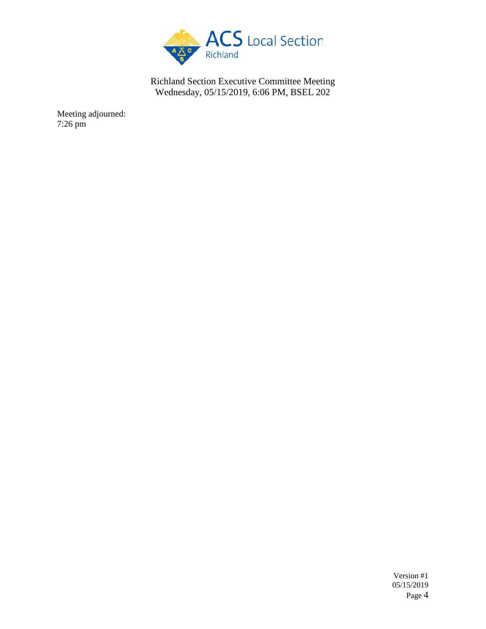

Meeting adjourned: 7:26 pm

> Version #1 05/15/2019 Page 4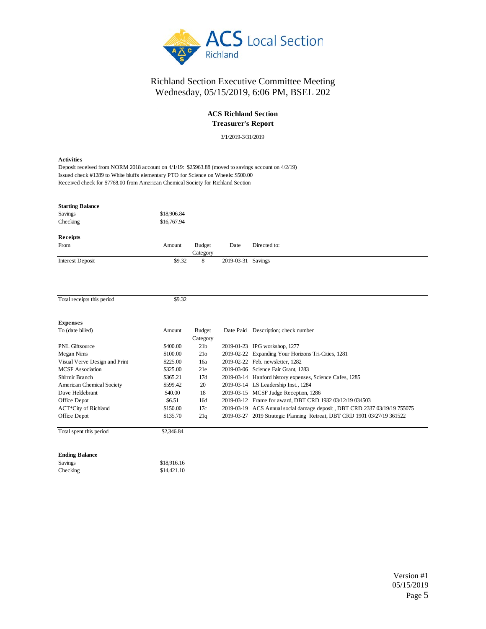

## **ACS Richland Section Treasurer's Report**

3/1/2019-3/31/2019

| 3/1/2019-3/31/2019                                                                                                                                                                                                                                                                                     |             |                    |                    |                                                          |  |
|--------------------------------------------------------------------------------------------------------------------------------------------------------------------------------------------------------------------------------------------------------------------------------------------------------|-------------|--------------------|--------------------|----------------------------------------------------------|--|
| <b>Activities</b><br>Deposit received from NORM 2018 account on $4/1/19$ : \$25963.88 (moved to savings account on $4/2/19$ )<br>Issued check #1289 to White bluffs elementary PTO for Science on Wheels: \$500.00<br>Received check for \$7768.00 from American Chemical Society for Richland Section |             |                    |                    |                                                          |  |
| <b>Starting Balance</b>                                                                                                                                                                                                                                                                                |             |                    |                    |                                                          |  |
| Savings                                                                                                                                                                                                                                                                                                | \$18,906.84 |                    |                    |                                                          |  |
| Checking                                                                                                                                                                                                                                                                                               | \$16,767.94 |                    |                    |                                                          |  |
| Receipts                                                                                                                                                                                                                                                                                               |             |                    |                    |                                                          |  |
| From                                                                                                                                                                                                                                                                                                   | Amount      | <b>Budget</b>      | Date               | Directed to:                                             |  |
|                                                                                                                                                                                                                                                                                                        |             | Category           |                    |                                                          |  |
| <b>Interest Deposit</b>                                                                                                                                                                                                                                                                                | \$9.32      | 8                  | 2019-03-31 Savings |                                                          |  |
| Total receipts this period                                                                                                                                                                                                                                                                             | \$9.32      |                    |                    |                                                          |  |
| <b>Expenses</b>                                                                                                                                                                                                                                                                                        |             |                    |                    |                                                          |  |
| To (date billed)                                                                                                                                                                                                                                                                                       | Amount      | Budget<br>Category |                    | Date Paid Description; check number                      |  |
| PNL Giftsource                                                                                                                                                                                                                                                                                         | \$400.00    | 21 <sub>b</sub>    |                    | 2019-01-23 IPG workshop, 1277                            |  |
| Megan Nims                                                                                                                                                                                                                                                                                             | \$100.00    | 21 <sub>o</sub>    |                    | 2019-02-22 Expanding Your Horizons Tri-Cities, 1281      |  |
| Visual Verve Design and Print                                                                                                                                                                                                                                                                          | \$225.00    | 16a                |                    | 2019-02-22 Feb. newsletter, 1282                         |  |
| <b>MCSF</b> Association                                                                                                                                                                                                                                                                                | \$325.00    | 21e                |                    | 2019-03-06 Science Fair Grant, 1283                      |  |
| Shirmir Rranch                                                                                                                                                                                                                                                                                         | \$365.21    | 17d                |                    | 2019-03-14 Hanford history expenses, Science Cafes, 1285 |  |

# **E**<br>T

| TO <i>(dale blied)</i>        | Allivani   | Duugu           | Date I ald Description, check humber                                      |
|-------------------------------|------------|-----------------|---------------------------------------------------------------------------|
|                               |            | Category        |                                                                           |
| PNL Giftsource                | \$400.00   | 21 <sub>b</sub> | 2019-01-23 IPG workshop, 1277                                             |
| Megan Nims                    | \$100.00   | 21 <sub>o</sub> | 2019-02-22 Expanding Your Horizons Tri-Cities, 1281                       |
| Visual Verve Design and Print | \$225.00   | 16a             | 2019-02-22 Feb. newsletter, 1282                                          |
| <b>MCSF</b> Association       | \$325.00   | 21e             | 2019-03-06 Science Fair Grant, 1283                                       |
| Shirmir Branch                | \$365.21   | 17d             | 2019-03-14 Hanford history expenses, Science Cafes, 1285                  |
| American Chemical Society     | \$599.42   | 20              | 2019-03-14 LS Leadership Inst., 1284                                      |
| Dave Heldebrant               | \$40.00    | 18              | 2019-03-15 MCSF Judge Reception, 1286                                     |
| Office Depot                  | \$6.51     | 16d             | 2019-03-12 Frame for award, DBT CRD 1932 03/12/19 034503                  |
| ACT*City of Richland          | \$150.00   | 17c             | 2019-03-19 ACS Annual social damage deposit, DBT CRD 2337 03/19/19 755075 |
| Office Depot                  | \$135.70   | 21q             | 2019-03-27 2019 Strategic Planning Retreat, DBT CRD 1901 03/27/19 361522  |
| Total spent this period       | \$2,346.84 |                 |                                                                           |

#### **Ending Balance**

| Savings  | \$18,916.16 |
|----------|-------------|
| Checking | \$14,421.10 |